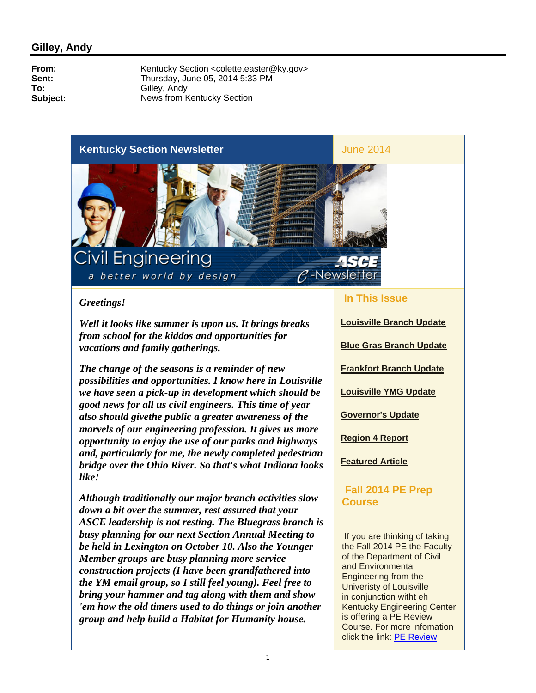### **Kentucky Section Newsletter** June 2014



#### *Greetings!*

*Well it looks like summer is upon us. It brings breaks from school for the kiddos and opportunities for vacations and family gatherings.*

*The change of the seasons is a reminder of new possibilities and opportunities. I know here in Louisville we have seen a pick-up in development which should be good news for all us civil engineers. This time of year also should givethe public a greater awareness of the marvels of our engineering profession. It gives us more opportunity to enjoy the use of our parks and highways and, particularly for me, the newly completed pedestrian bridge over the Ohio River. So that's what Indiana looks like!*

*Although traditionally our major branch activities slow down a bit over the summer, rest assured that your ASCE leadership is not resting. The Bluegrass branch is busy planning for our next Section Annual Meeting to be held in Lexington on October 10. Also the Younger Member groups are busy planning more service construction projects (I have been grandfathered into the YM email group, so I still feel young). Feel free to bring your hammer and tag along with them and show 'em how the old timers used to do things or join another group and help build a Habitat for Humanity house.* 

#### **In This Issue**

 $P$ -Newsletter

 $\overline{\phantom{a}}$ 

**Louisville Branch Update Blue Gras Branch Update Frankfort Branch Update Louisville YMG Update Governor's Update Region 4 Report Featured Article**

### **Fall 2014 PE Prep Course**

 If you are thinking of taking the Fall 2014 PE the Faculty of the Department of Civil and Environmental Engineering from the Univeristy of Louisville in conjunction witht eh Kentucky Engineering Center is offering a PE Review Course. For more infomation click the link: PE Review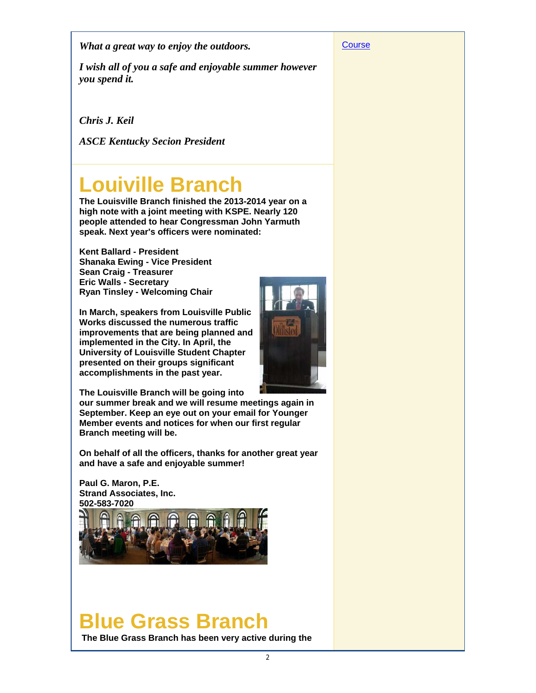*What a great way to enjoy the outdoors.*

*I wish all of you a safe and enjoyable summer however you spend it.*

*Chris J. Keil*

*ASCE Kentucky Secion President*

# **Louiville Branch**

**The Louisville Branch finished the 2013-2014 year on a high note with a joint meeting with KSPE. Nearly 120 people attended to hear Congressman John Yarmuth speak. Next year's officers were nominated:**

**Kent Ballard - President Shanaka Ewing - Vice President Sean Craig - Treasurer Eric Walls - Secretary Ryan Tinsley - Welcoming Chair**

**In March, speakers from Louisville Public Works discussed the numerous traffic improvements that are being planned and implemented in the City. In April, the University of Louisville Student Chapter presented on their groups significant accomplishments in the past year.** 



**The Louisville Branch will be going into** 

**our summer break and we will resume meetings again in September. Keep an eye out on your email for Younger Member events and notices for when our first regular Branch meeting will be.** 

**On behalf of all the officers, thanks for another great year and have a safe and enjoyable summer!**

**Paul G. Maron, P.E. Strand Associates, Inc. 502-583-7020**



## **Blue Grass Branch**

**The Blue Grass Branch has been very active during the** 

**Course**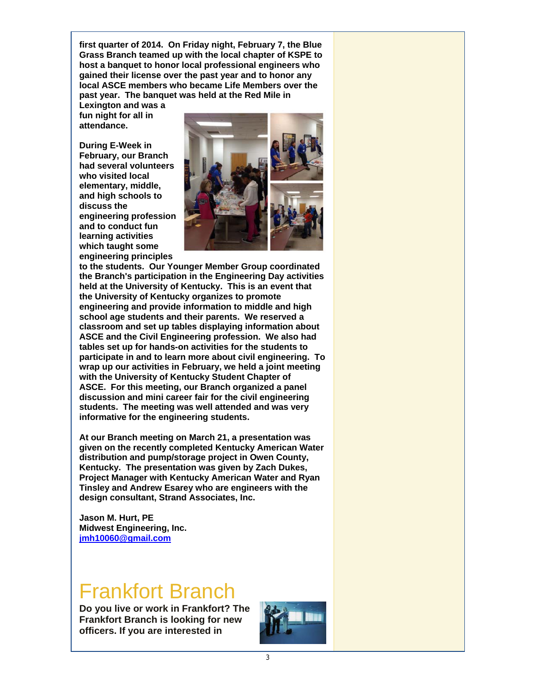**first quarter of 2014. On Friday night, February 7, the Blue Grass Branch teamed up with the local chapter of KSPE to host a banquet to honor local professional engineers who gained their license over the past year and to honor any local ASCE members who became Life Members over the past year. The banquet was held at the Red Mile in** 

**Lexington and was a fun night for all in attendance.** 

**During E-Week in February, our Branch had several volunteers who visited local elementary, middle, and high schools to discuss the engineering profession and to conduct fun learning activities which taught some engineering principles** 



**to the students. Our Younger Member Group coordinated the Branch's participation in the Engineering Day activities held at the University of Kentucky. This is an event that the University of Kentucky organizes to promote engineering and provide information to middle and high school age students and their parents. We reserved a classroom and set up tables displaying information about ASCE and the Civil Engineering profession. We also had tables set up for hands-on activities for the students to participate in and to learn more about civil engineering. To wrap up our activities in February, we held a joint meeting with the University of Kentucky Student Chapter of ASCE. For this meeting, our Branch organized a panel discussion and mini career fair for the civil engineering students. The meeting was well attended and was very informative for the engineering students.** 

**At our Branch meeting on March 21, a presentation was given on the recently completed Kentucky American Water distribution and pump/storage project in Owen County, Kentucky. The presentation was given by Zach Dukes, Project Manager with Kentucky American Water and Ryan Tinsley and Andrew Esarey who are engineers with the design consultant, Strand Associates, Inc.**

**Jason M. Hurt, PE Midwest Engineering, Inc. jmh10060@gmail.com**

## Frankfort Branch

**Do you live or work in Frankfort? The Frankfort Branch is looking for new officers. If you are interested in** 

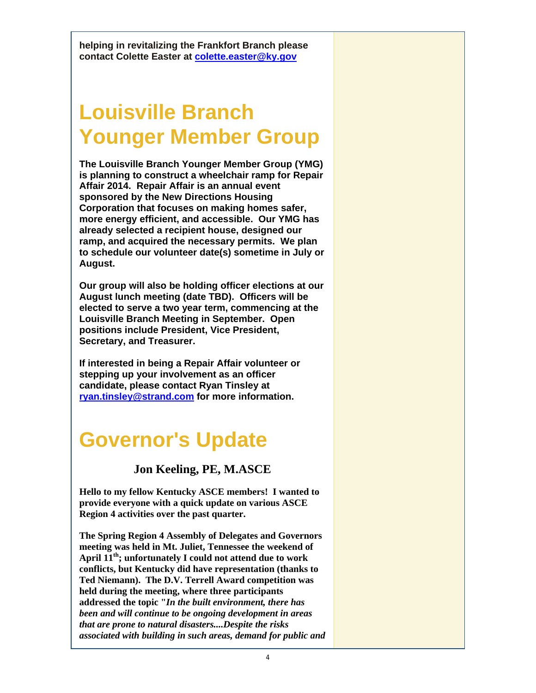**helping in revitalizing the Frankfort Branch please contact Colette Easter at colette.easter@ky.gov**

# **Louisville Branch Younger Member Group**

**The Louisville Branch Younger Member Group (YMG) is planning to construct a wheelchair ramp for Repair Affair 2014. Repair Affair is an annual event sponsored by the New Directions Housing Corporation that focuses on making homes safer, more energy efficient, and accessible. Our YMG has already selected a recipient house, designed our ramp, and acquired the necessary permits. We plan to schedule our volunteer date(s) sometime in July or August.**

**Our group will also be holding officer elections at our August lunch meeting (date TBD). Officers will be elected to serve a two year term, commencing at the Louisville Branch Meeting in September. Open positions include President, Vice President, Secretary, and Treasurer.**

**If interested in being a Repair Affair volunteer or stepping up your involvement as an officer candidate, please contact Ryan Tinsley at ryan.tinsley@strand.com for more information.**

## **Governor's Update**

**Jon Keeling, PE, M.ASCE**

**Hello to my fellow Kentucky ASCE members! I wanted to provide everyone with a quick update on various ASCE Region 4 activities over the past quarter.**

**The Spring Region 4 Assembly of Delegates and Governors meeting was held in Mt. Juliet, Tennessee the weekend of April 11th; unfortunately I could not attend due to work conflicts, but Kentucky did have representation (thanks to Ted Niemann). The D.V. Terrell Award competition was held during the meeting, where three participants addressed the topic "***In the built environment, there has been and will continue to be ongoing development in areas that are prone to natural disasters....Despite the risks associated with building in such areas, demand for public and*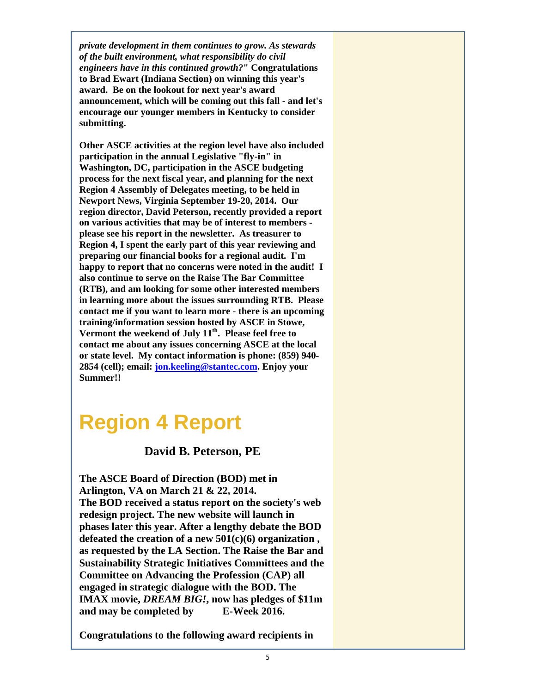*private development in them continues to grow. As stewards of the built environment, what responsibility do civil engineers have in this continued growth?***" Congratulations to Brad Ewart (Indiana Section) on winning this year's award. Be on the lookout for next year's award announcement, which will be coming out this fall - and let's encourage our younger members in Kentucky to consider submitting.**

**Other ASCE activities at the region level have also included participation in the annual Legislative "fly-in" in Washington, DC, participation in the ASCE budgeting process for the next fiscal year, and planning for the next Region 4 Assembly of Delegates meeting, to be held in Newport News, Virginia September 19-20, 2014. Our region director, David Peterson, recently provided a report on various activities that may be of interest to members please see his report in the newsletter. As treasurer to Region 4, I spent the early part of this year reviewing and preparing our financial books for a regional audit. I'm happy to report that no concerns were noted in the audit! I also continue to serve on the Raise The Bar Committee (RTB), and am looking for some other interested members in learning more about the issues surrounding RTB. Please contact me if you want to learn more - there is an upcoming training/information session hosted by ASCE in Stowe,**  Vermont the weekend of July 11<sup>th</sup>. Please feel free to **contact me about any issues concerning ASCE at the local or state level. My contact information is phone: (859) 940- 2854 (cell); email: jon.keeling@stantec.com. Enjoy your Summer!!**

## **Region 4 Report**

### **David B. Peterson, PE**

**The ASCE Board of Direction (BOD) met in Arlington, VA on March 21 & 22, 2014. The BOD received a status report on the society's web redesign project. The new website will launch in phases later this year. After a lengthy debate the BOD defeated the creation of a new 501(c)(6) organization , as requested by the LA Section. The Raise the Bar and Sustainability Strategic Initiatives Committees and the Committee on Advancing the Profession (CAP) all engaged in strategic dialogue with the BOD. The IMAX movie,** *DREAM BIG!***, now has pledges of \$11m and may be completed by E-Week 2016.** 

**Congratulations to the following award recipients in**